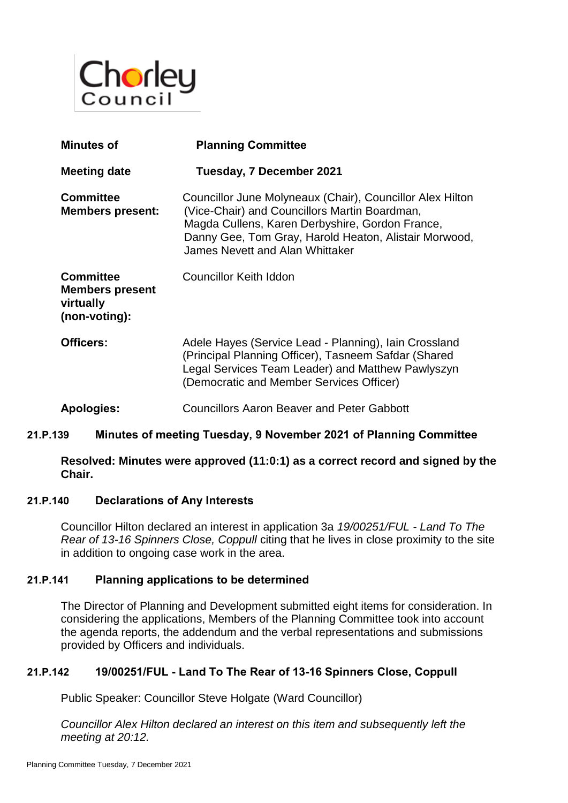

| <b>Minutes of</b>                                                        | <b>Planning Committee</b>                                                                                                                                                                                                                                 |
|--------------------------------------------------------------------------|-----------------------------------------------------------------------------------------------------------------------------------------------------------------------------------------------------------------------------------------------------------|
| Meeting date                                                             | Tuesday, 7 December 2021                                                                                                                                                                                                                                  |
| <b>Committee</b><br><b>Members present:</b>                              | Councillor June Molyneaux (Chair), Councillor Alex Hilton<br>(Vice-Chair) and Councillors Martin Boardman,<br>Magda Cullens, Karen Derbyshire, Gordon France,<br>Danny Gee, Tom Gray, Harold Heaton, Alistair Morwood,<br>James Nevett and Alan Whittaker |
| <b>Committee</b><br><b>Members present</b><br>virtually<br>(non-voting): | Councillor Keith Iddon                                                                                                                                                                                                                                    |
| Officers:                                                                | Adele Hayes (Service Lead - Planning), Iain Crossland<br>(Principal Planning Officer), Tasneem Safdar (Shared<br>Legal Services Team Leader) and Matthew Pawlyszyn<br>(Democratic and Member Services Officer)                                            |
| Apologies:                                                               | <b>Councillors Aaron Beaver and Peter Gabbott</b>                                                                                                                                                                                                         |

# **21.P.139 Minutes of meeting Tuesday, 9 November 2021 of Planning Committee**

**Resolved: Minutes were approved (11:0:1) as a correct record and signed by the Chair.**

### **21.P.140 Declarations of Any Interests**

Councillor Hilton declared an interest in application 3a *19/00251/FUL - Land To The Rear of 13-16 Spinners Close, Coppull* citing that he lives in close proximity to the site in addition to ongoing case work in the area.

## **21.P.141 Planning applications to be determined**

The Director of Planning and Development submitted eight items for consideration. In considering the applications, Members of the Planning Committee took into account the agenda reports, the addendum and the verbal representations and submissions provided by Officers and individuals.

### **21.P.142 19/00251/FUL - Land To The Rear of 13-16 Spinners Close, Coppull**

Public Speaker: Councillor Steve Holgate (Ward Councillor)

*Councillor Alex Hilton declared an interest on this item and subsequently left the meeting at 20:12.*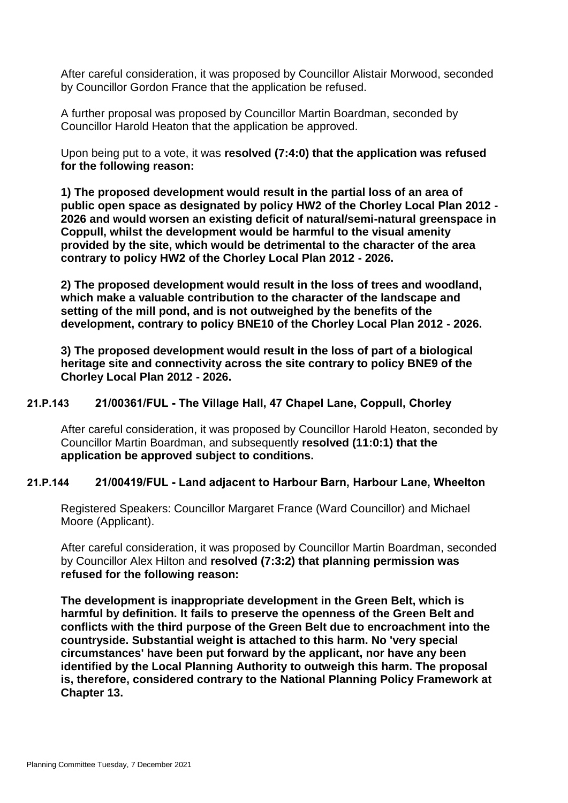After careful consideration, it was proposed by Councillor Alistair Morwood, seconded by Councillor Gordon France that the application be refused.

A further proposal was proposed by Councillor Martin Boardman, seconded by Councillor Harold Heaton that the application be approved.

Upon being put to a vote, it was **resolved (7:4:0) that the application was refused for the following reason:**

**1) The proposed development would result in the partial loss of an area of public open space as designated by policy HW2 of the Chorley Local Plan 2012 - 2026 and would worsen an existing deficit of natural/semi-natural greenspace in Coppull, whilst the development would be harmful to the visual amenity provided by the site, which would be detrimental to the character of the area contrary to policy HW2 of the Chorley Local Plan 2012 - 2026.**

**2) The proposed development would result in the loss of trees and woodland, which make a valuable contribution to the character of the landscape and setting of the mill pond, and is not outweighed by the benefits of the development, contrary to policy BNE10 of the Chorley Local Plan 2012 - 2026.**

**3) The proposed development would result in the loss of part of a biological heritage site and connectivity across the site contrary to policy BNE9 of the Chorley Local Plan 2012 - 2026.**

### **21.P.143 21/00361/FUL - The Village Hall, 47 Chapel Lane, Coppull, Chorley**

After careful consideration, it was proposed by Councillor Harold Heaton, seconded by Councillor Martin Boardman, and subsequently **resolved (11:0:1) that the application be approved subject to conditions.** 

### **21.P.144 21/00419/FUL - Land adjacent to Harbour Barn, Harbour Lane, Wheelton**

Registered Speakers: Councillor Margaret France (Ward Councillor) and Michael Moore (Applicant).

After careful consideration, it was proposed by Councillor Martin Boardman, seconded by Councillor Alex Hilton and **resolved (7:3:2) that planning permission was refused for the following reason:**

**The development is inappropriate development in the Green Belt, which is harmful by definition. It fails to preserve the openness of the Green Belt and conflicts with the third purpose of the Green Belt due to encroachment into the countryside. Substantial weight is attached to this harm. No 'very special circumstances' have been put forward by the applicant, nor have any been identified by the Local Planning Authority to outweigh this harm. The proposal is, therefore, considered contrary to the National Planning Policy Framework at Chapter 13.**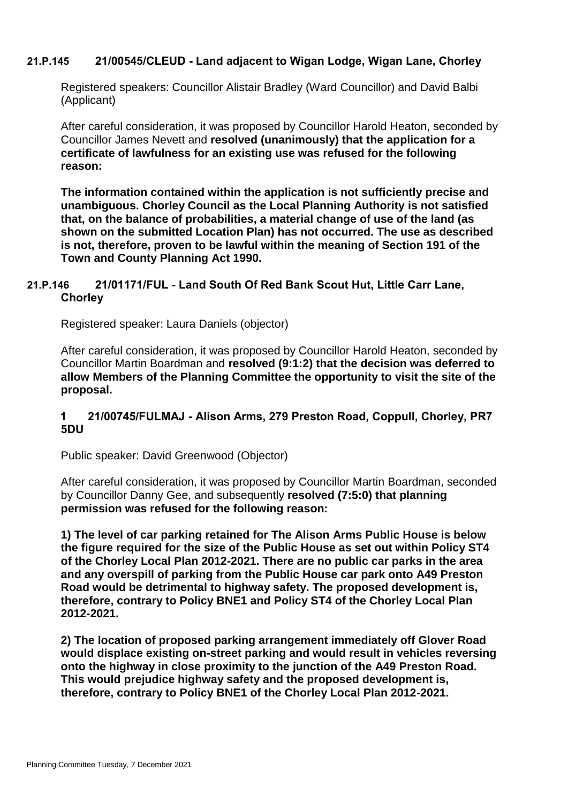# **21.P.145 21/00545/CLEUD - Land adjacent to Wigan Lodge, Wigan Lane, Chorley**

Registered speakers: Councillor Alistair Bradley (Ward Councillor) and David Balbi (Applicant)

After careful consideration, it was proposed by Councillor Harold Heaton, seconded by Councillor James Nevett and **resolved (unanimously) that the application for a certificate of lawfulness for an existing use was refused for the following reason:**

**The information contained within the application is not sufficiently precise and unambiguous. Chorley Council as the Local Planning Authority is not satisfied that, on the balance of probabilities, a material change of use of the land (as shown on the submitted Location Plan) has not occurred. The use as described is not, therefore, proven to be lawful within the meaning of Section 191 of the Town and County Planning Act 1990.**

# **21.P.146 21/01171/FUL - Land South Of Red Bank Scout Hut, Little Carr Lane, Chorley**

Registered speaker: Laura Daniels (objector)

After careful consideration, it was proposed by Councillor Harold Heaton, seconded by Councillor Martin Boardman and **resolved (9:1:2) that the decision was deferred to allow Members of the Planning Committee the opportunity to visit the site of the proposal.** 

## **1 21/00745/FULMAJ - Alison Arms, 279 Preston Road, Coppull, Chorley, PR7 5DU**

Public speaker: David Greenwood (Objector)

After careful consideration, it was proposed by Councillor Martin Boardman, seconded by Councillor Danny Gee, and subsequently **resolved (7:5:0) that planning permission was refused for the following reason:**

**1) The level of car parking retained for The Alison Arms Public House is below the figure required for the size of the Public House as set out within Policy ST4 of the Chorley Local Plan 2012-2021. There are no public car parks in the area and any overspill of parking from the Public House car park onto A49 Preston Road would be detrimental to highway safety. The proposed development is, therefore, contrary to Policy BNE1 and Policy ST4 of the Chorley Local Plan 2012-2021.**

**2) The location of proposed parking arrangement immediately off Glover Road would displace existing on-street parking and would result in vehicles reversing onto the highway in close proximity to the junction of the A49 Preston Road. This would prejudice highway safety and the proposed development is, therefore, contrary to Policy BNE1 of the Chorley Local Plan 2012-2021.**